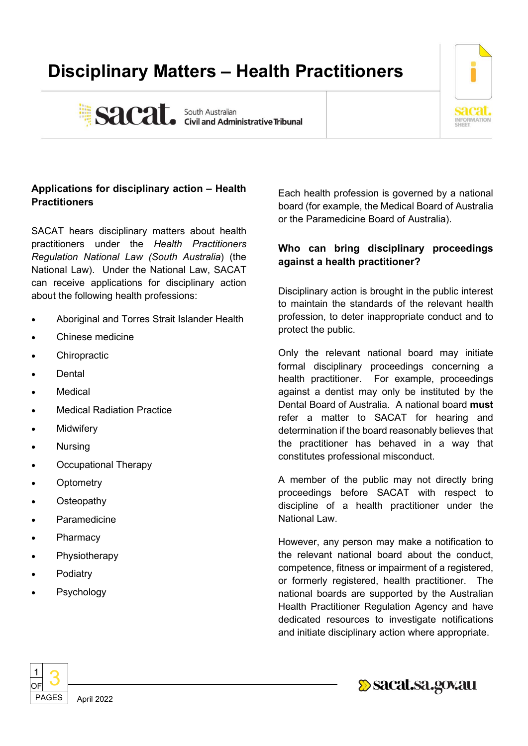# **Disciplinary Matters – Health Practitioners**



Sacat. South Australian Sacarity e Tribunal

# **Applications for disciplinary action – Health Practitioners**

SACAT hears disciplinary matters about health practitioners under the *Health Practitioners Regulation National Law (South Australia*) (the National Law). Under the National Law, SACAT can receive applications for disciplinary action about the following health professions:

- Aboriginal and Torres Strait Islander Health
- Chinese medicine
- **Chiropractic**
- **Dental**
- **Medical**
- **Medical Radiation Practice**
- **Midwifery**
- Nursing
- Occupational Therapy
- **Optometry**
- **Osteopathy**
- **Paramedicine**
- **Pharmacy**
- **Physiotherapy**
- **Podiatry**
- **Psychology**

Each health profession is governed by a national board (for example, the Medical Board of Australia or the Paramedicine Board of Australia).

# **Who can bring disciplinary proceedings against a health practitioner?**

Disciplinary action is brought in the public interest to maintain the standards of the relevant health profession, to deter inappropriate conduct and to protect the public.

Only the relevant national board may initiate formal disciplinary proceedings concerning a health practitioner. For example, proceedings against a dentist may only be instituted by the Dental Board of Australia. A national board **must** refer a matter to SACAT for hearing and determination if the board reasonably believes that the practitioner has behaved in a way that constitutes professional misconduct.

A member of the public may not directly bring proceedings before SACAT with respect to discipline of a health practitioner under the National Law.

However, any person may make a notification to the relevant national board about the conduct, competence, fitness or impairment of a registered, or formerly registered, health practitioner. The national boards are supported by the Australian Health Practitioner Regulation Agency and have dedicated resources to investigate notifications and initiate disciplinary action where appropriate.

Sacat.sa.gov.au



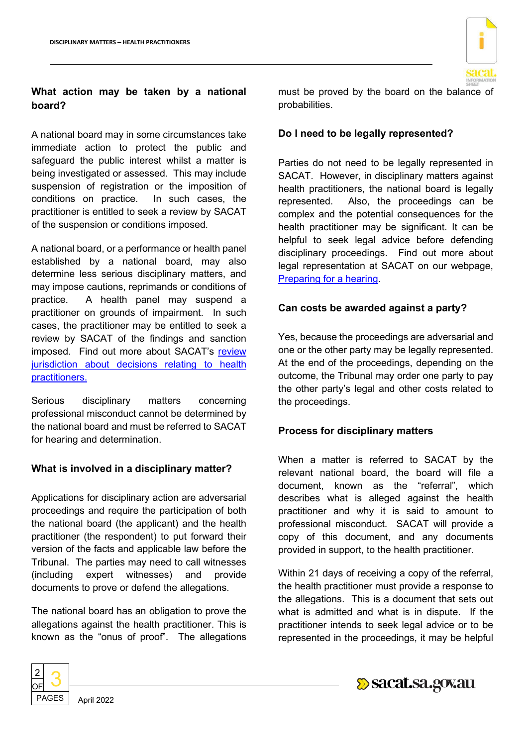

## **What action may be taken by a national board?**

A national board may in some circumstances take immediate action to protect the public and safeguard the public interest whilst a matter is being investigated or assessed. This may include suspension of registration or the imposition of conditions on practice. In such cases, the practitioner is entitled to seek a review by SACAT of the suspension or conditions imposed.

A national board, or a performance or health panel established by a national board, may also determine less serious disciplinary matters, and may impose cautions, reprimands or conditions of practice. A health panel may suspend a practitioner on grounds of impairment. In such cases, the practitioner may be entitled to seek a review by SACAT of the findings and sanction imposed. Find out more about SACAT's review [jurisdiction about decisions relating to health](https://www.sacat.sa.gov.au/case-type/ROG/a-z-list-of-decisions-we-can-review/health-practitioners)  [practitioners.](https://www.sacat.sa.gov.au/case-type/ROG/a-z-list-of-decisions-we-can-review/health-practitioners)

Serious disciplinary matters concerning professional misconduct cannot be determined by the national board and must be referred to SACAT for hearing and determination.

## **What is involved in a disciplinary matter?**

Applications for disciplinary action are adversarial proceedings and require the participation of both the national board (the applicant) and the health practitioner (the respondent) to put forward their version of the facts and applicable law before the Tribunal. The parties may need to call witnesses (including expert witnesses) and provide documents to prove or defend the allegations.

The national board has an obligation to prove the allegations against the health practitioner. This is known as the "onus of proof". The allegations



must be proved by the board on the balance of probabilities.

## **Do I need to be legally represented?**

Parties do not need to be legally represented in SACAT. However, in disciplinary matters against health practitioners, the national board is legally represented. Also, the proceedings can be complex and the potential consequences for the health practitioner may be significant. It can be helpful to seek legal advice before defending disciplinary proceedings. Find out more about legal representation at SACAT on our webpage, [Preparing for a hearing.](https://www.sacat.sa.gov.au/applications-and-hearings/hearings/preparing-for-a-hearing)

#### **Can costs be awarded against a party?**

Yes, because the proceedings are adversarial and one or the other party may be legally represented. At the end of the proceedings, depending on the outcome, the Tribunal may order one party to pay the other party's legal and other costs related to the proceedings.

## **Process for disciplinary matters**

When a matter is referred to SACAT by the relevant national board, the board will file a document, known as the "referral", which describes what is alleged against the health practitioner and why it is said to amount to professional misconduct. SACAT will provide a copy of this document, and any documents provided in support, to the health practitioner.

Within 21 days of receiving a copy of the referral, the health practitioner must provide a response to the allegations. This is a document that sets out what is admitted and what is in dispute. If the practitioner intends to seek legal advice or to be represented in the proceedings, it may be helpful